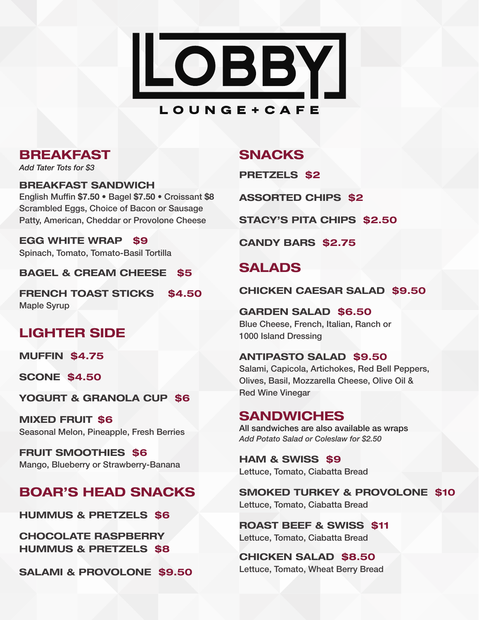

## BREAKFAST

*Add Tater Tots for \$3*

BREAKFAST SANDWICH English Muffin **\$7.50** • Bagel **\$7.50** • Croissant **\$8** Scrambled Eggs, Choice of Bacon or Sausage Patty, American, Cheddar or Provolone Cheese

EGG WHITE WRAP \$9 Spinach, Tomato, Tomato-Basil Tortilla

BAGEL & CREAM CHEESE \$5

FRENCH TOAST STICKS \$4.50 Maple Syrup

# LIGHTER SIDE

MUFFIN \$4.75

SCONE \$4.50

YOGURT & GRANOLA CUP \$6

MIXED FRUIT \$6 Seasonal Melon, Pineapple, Fresh Berries

FRUIT SMOOTHIES \$6 Mango, Blueberry or Strawberry-Banana

# BOAR'S HEAD SNACKS

HUMMUS & PRETZELS \$6

CHOCOLATE RASPBERRY HUMMUS & PRETZELS \$8

SALAMI & PROVOLONE \$9.50

## SNACKS

PRETZELS \$2

ASSORTED CHIPS \$2

STACY'S PITA CHIPS \$2.50

CANDY BARS \$2.75

# SALADS

CHICKEN CAESAR SALAD \$9.50

# GARDEN SALAD \$6.50

Blue Cheese, French, Italian, Ranch or 1000 Island Dressing

#### ANTIPASTO SALAD \$9.50

Salami, Capicola, Artichokes, Red Bell Peppers, Olives, Basil, Mozzarella Cheese, Olive Oil & Red Wine Vinegar

## SANDWICHES

All sandwiches are also available as wraps *Add Potato Salad or Coleslaw for \$2.50*

HAM & SWISS \$9 Lettuce, Tomato, Ciabatta Bread

SMOKED TURKEY & PROVOLONE \$10 Lettuce, Tomato, Ciabatta Bread

ROAST BEEF & SWISS \$11 Lettuce, Tomato, Ciabatta Bread

CHICKEN SALAD \$8.50 Lettuce, Tomato, Wheat Berry Bread